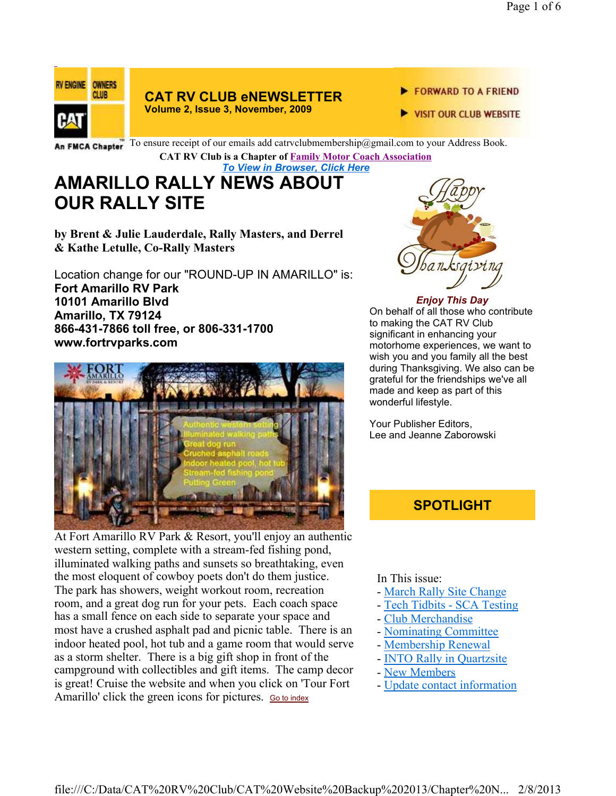

# **CAT RV CLUB eNEWSLETTER**

- **Volume 2, Issue 3, November, 2009**
- FORWARD TO A FRIEND
- VISIT OUR CLUB WEBSITE

An FMCA Chapter To ensure receipt of our emails add catrvclubmembership@gmail.com to your Address Book.

**CAT RV Club is a Chapter of Family Motor Coach Association** 

*To View in Browser, Click Here*

# **AMARILLO RALLY NEWS ABOUT OUR RALLY SITE**

**by Brent & Julie Lauderdale, Rally Masters, and Derrel & Kathe Letulle, Co-Rally Masters**

Location change for our "ROUND-UP IN AMARILLO" is: **Fort Amarillo RV Park 10101 Amarillo Blvd Amarillo, TX 79124 866-431-7866 toll free, or 806-331-1700 www.fortrvparks.com**



At Fort Amarillo RV Park & Resort, you'll enjoy an authentic western setting, complete with a stream-fed fishing pond, illuminated walking paths and sunsets so breathtaking, even the most eloquent of cowboy poets don't do them justice. The park has showers, weight workout room, recreation room, and a great dog run for your pets. Each coach space has a small fence on each side to separate your space and most have a crushed asphalt pad and picnic table. There is an indoor heated pool, hot tub and a game room that would serve as a storm shelter. There is a big gift shop in front of the campground with collectibles and gift items. The camp decor is great! Cruise the website and when you click on 'Tour Fort Amarillo' click the green icons for pictures. Go to index



### *Enjoy This Day*

On behalf of all those who contribute to making the CAT RV Club significant in enhancing your motorhome experiences, we want to wish you and you family all the best during Thanksgiving. We also can be grateful for the friendships we've all made and keep as part of this wonderful lifestyle.

Your Publisher Editors, Lee and Jeanne Zaborowski

# **SPOTLIGHT**

### In This issue:

- March Rally Site Change
- Tech Tidbits SCA Testing
- Club Merchandise
- Nominating Committee
- Membership Renewal
- INTO Rally in Quartzsite
- New Members
- Update contact information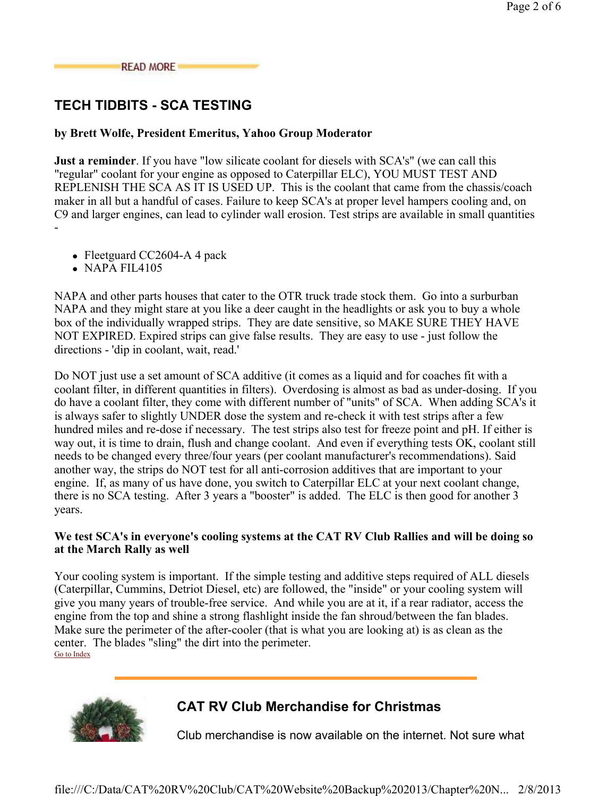### **READ MORE**

# **TECH TIDBITS - SCA TESTING**

### **by Brett Wolfe, President Emeritus, Yahoo Group Moderator**

**Just a reminder**. If you have "low silicate coolant for diesels with SCA's" (we can call this "regular" coolant for your engine as opposed to Caterpillar ELC), YOU MUST TEST AND REPLENISH THE SCA AS IT IS USED UP. This is the coolant that came from the chassis/coach maker in all but a handful of cases. Failure to keep SCA's at proper level hampers cooling and, on C9 and larger engines, can lead to cylinder wall erosion. Test strips are available in small quantities -

- Fleetguard CC2604-A 4 pack
- NAPA FIL4105

NAPA and other parts houses that cater to the OTR truck trade stock them. Go into a surburban NAPA and they might stare at you like a deer caught in the headlights or ask you to buy a whole box of the individually wrapped strips. They are date sensitive, so MAKE SURE THEY HAVE NOT EXPIRED. Expired strips can give false results. They are easy to use - just follow the directions - 'dip in coolant, wait, read.'

Do NOT just use a set amount of SCA additive (it comes as a liquid and for coaches fit with a coolant filter, in different quantities in filters). Overdosing is almost as bad as under-dosing. If you do have a coolant filter, they come with different number of "units" of SCA. When adding SCA's it is always safer to slightly UNDER dose the system and re-check it with test strips after a few hundred miles and re-dose if necessary. The test strips also test for freeze point and pH. If either is way out, it is time to drain, flush and change coolant. And even if everything tests OK, coolant still needs to be changed every three/four years (per coolant manufacturer's recommendations). Said another way, the strips do NOT test for all anti-corrosion additives that are important to your engine. If, as many of us have done, you switch to Caterpillar ELC at your next coolant change, there is no SCA testing. After 3 years a "booster" is added. The ELC is then good for another 3 years.

### **We test SCA's in everyone's cooling systems at the CAT RV Club Rallies and will be doing so at the March Rally as well**

Your cooling system is important. If the simple testing and additive steps required of ALL diesels (Caterpillar, Cummins, Detriot Diesel, etc) are followed, the "inside" or your cooling system will give you many years of trouble-free service. And while you are at it, if a rear radiator, access the engine from the top and shine a strong flashlight inside the fan shroud/between the fan blades. Make sure the perimeter of the after-cooler (that is what you are looking at) is as clean as the center. The blades "sling" the dirt into the perimeter. Go to Index



# **CAT RV Club Merchandise for Christmas**

Club merchandise is now available on the internet. Not sure what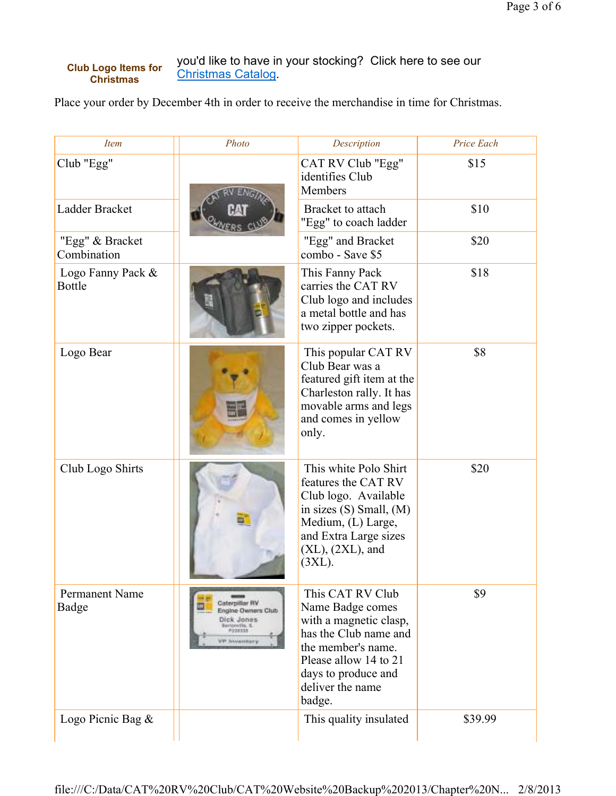#### you'd like to have in your stocking? Click here to see our Christmas Catalog. **Club Logo Items for Christmas**

Place your order by December 4th in order to receive the merchandise in time for Christmas.

| <i>Item</i>                        | Photo                                                                                                         | Description                                                                                                                                                                                 | Price Each |
|------------------------------------|---------------------------------------------------------------------------------------------------------------|---------------------------------------------------------------------------------------------------------------------------------------------------------------------------------------------|------------|
| Club "Egg"                         |                                                                                                               | CAT RV Club "Egg"<br>identifies Club<br><b>Members</b>                                                                                                                                      | \$15       |
| Ladder Bracket                     |                                                                                                               | Bracket to attach<br>"Egg" to coach ladder                                                                                                                                                  | \$10       |
| "Egg" & Bracket<br>Combination     |                                                                                                               | "Egg" and Bracket<br>combo - Save \$5                                                                                                                                                       | \$20       |
| Logo Fanny Pack &<br><b>Bottle</b> |                                                                                                               | This Fanny Pack<br>carries the CAT RV<br>Club logo and includes<br>a metal bottle and has<br>two zipper pockets.                                                                            | \$18       |
| Logo Bear                          |                                                                                                               | This popular CAT RV<br>Club Bear was a<br>featured gift item at the<br>Charleston rally. It has<br>movable arms and legs<br>and comes in yellow<br>only.                                    | \$8        |
| Club Logo Shirts                   |                                                                                                               | This white Polo Shirt<br>features the CAT RV<br>Club logo. Available<br>in sizes (S) Small, (M)<br>Medium, (L) Large,<br>and Extra Large sizes<br>$(XL)$ , $(2XL)$ , and<br>$(3XL)$ .       | \$20       |
| Permanent Name<br>Badge            | Caterpillar RV<br>Engine Owners Club<br>Dick Jones<br>Terrorwith, IL<br><b>Maassas</b><br><b>VP Inventory</b> | This CAT RV Club<br>Name Badge comes<br>with a magnetic clasp,<br>has the Club name and<br>the member's name.<br>Please allow 14 to 21<br>days to produce and<br>deliver the name<br>badge. | \$9        |
| Logo Picnic Bag &                  |                                                                                                               | This quality insulated                                                                                                                                                                      | \$39.99    |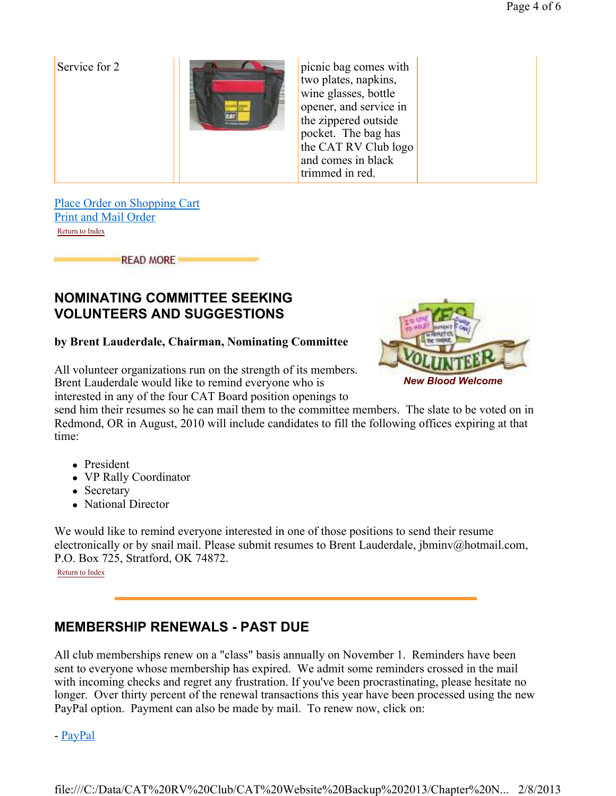Service for  $2$  **picnic bag comes with** two plates, napkins, wine glasses, bottle opener, and service in the zippered outside pocket. The bag has the CAT RV Club logo and comes in black trimmed in red.

Place Order on Shopping Cart Print and Mail Order Return to Index

**READ MORE** 

# **NOMINATING COMMITTEE SEEKING VOLUNTEERS AND SUGGESTIONS**

### **by Brent Lauderdale, Chairman, Nominating Committee**

All volunteer organizations run on the strength of its members. Brent Lauderdale would like to remind everyone who is interested in any of the four CAT Board position openings to



send him their resumes so he can mail them to the committee members. The slate to be voted on in Redmond, OR in August, 2010 will include candidates to fill the following offices expiring at that time:

- President
- VP Rally Coordinator
- Secretary
- National Director

We would like to remind everyone interested in one of those positions to send their resume electronically or by snail mail. Please submit resumes to Brent Lauderdale, jbminv@hotmail.com, P.O. Box 725, Stratford, OK 74872.

Return to Index

# **MEMBERSHIP RENEWALS - PAST DUE**

All club memberships renew on a "class" basis annually on November 1. Reminders have been sent to everyone whose membership has expired. We admit some reminders crossed in the mail with incoming checks and regret any frustration. If you've been procrastinating, please hesitate no longer. Over thirty percent of the renewal transactions this year have been processed using the new PayPal option. Payment can also be made by mail. To renew now, click on:

- PayPal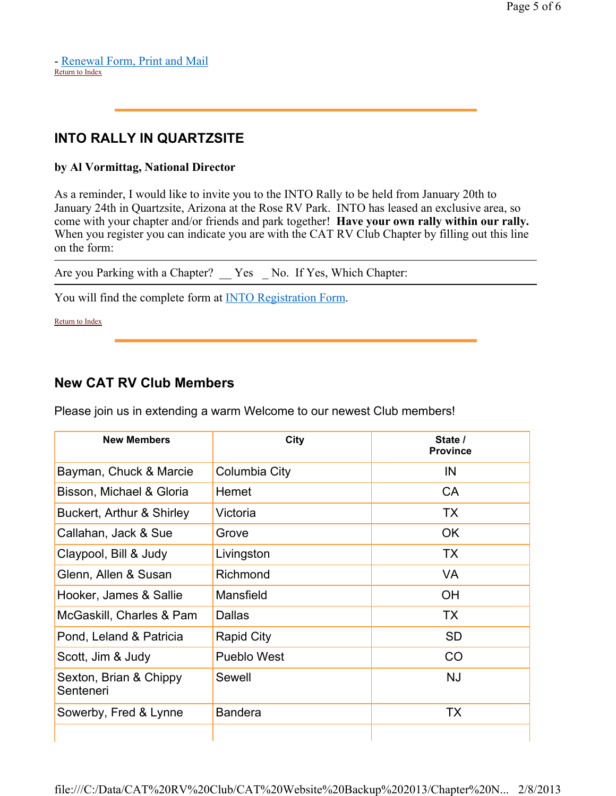### - Renewal Form, Print and Mail Return to Index

# **INTO RALLY IN QUARTZSITE**

### **by Al Vormittag, National Director**

As a reminder, I would like to invite you to the INTO Rally to be held from January 20th to January 24th in Quartzsite, Arizona at the Rose RV Park. INTO has leased an exclusive area, so come with your chapter and/or friends and park together! **Have your own rally within our rally.**  When you register you can indicate you are with the CAT RV Club Chapter by filling out this line on the form:

Are you Parking with a Chapter? \_\_ Yes \_ No. If Yes, Which Chapter:

You will find the complete form at **INTO Registration Form.** 

Return to Index

# **New CAT RV Club Members**

Please join us in extending a warm Welcome to our newest Club members!

| City               | State /<br><b>Province</b> |
|--------------------|----------------------------|
| Columbia City      | IN                         |
| Hemet              | <b>CA</b>                  |
| Victoria           | <b>TX</b>                  |
| Grove              | <b>OK</b>                  |
| Livingston         | <b>TX</b>                  |
| Richmond           | <b>VA</b>                  |
| Mansfield          | <b>OH</b>                  |
| <b>Dallas</b>      | <b>TX</b>                  |
| Rapid City         | <b>SD</b>                  |
| <b>Pueblo West</b> | CO                         |
| Sewell             | <b>NJ</b>                  |
| <b>Bandera</b>     | <b>TX</b>                  |
|                    |                            |